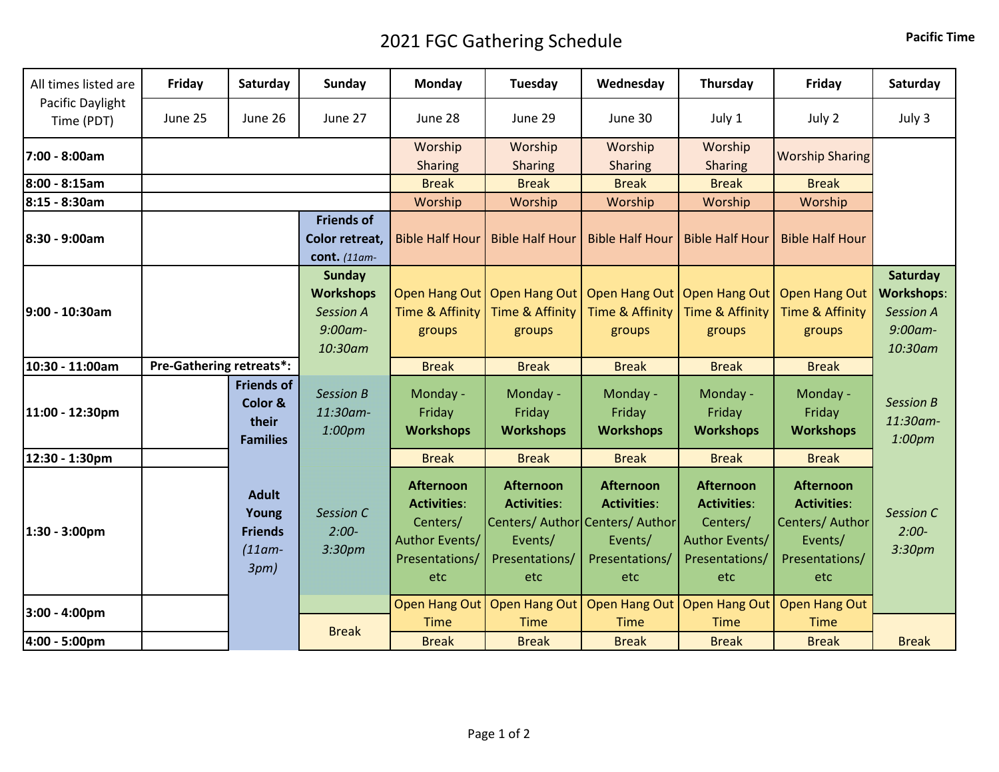## 2021 FGC Gathering Schedule **Pacific Time**

| All times listed are           | Friday                          | Saturday                                                     | Sunday                                                                         | Monday                                                                                        | Tuesday                                                                    | Wednesday                                                                                                     | Thursday                                                                                      | Friday                                                                                        | Saturday                                                                   |
|--------------------------------|---------------------------------|--------------------------------------------------------------|--------------------------------------------------------------------------------|-----------------------------------------------------------------------------------------------|----------------------------------------------------------------------------|---------------------------------------------------------------------------------------------------------------|-----------------------------------------------------------------------------------------------|-----------------------------------------------------------------------------------------------|----------------------------------------------------------------------------|
| Pacific Daylight<br>Time (PDT) | June 25                         | June 26                                                      | June 27                                                                        | June 28                                                                                       | June 29                                                                    | June 30                                                                                                       | July 1                                                                                        | July 2                                                                                        | July 3                                                                     |
| 7:00 - 8:00am                  |                                 |                                                              |                                                                                | Worship<br><b>Sharing</b>                                                                     | Worship<br><b>Sharing</b>                                                  | Worship<br><b>Sharing</b>                                                                                     | Worship<br><b>Sharing</b>                                                                     | <b>Worship Sharing</b>                                                                        |                                                                            |
| 8:00 - 8:15am                  |                                 |                                                              |                                                                                | <b>Break</b>                                                                                  | <b>Break</b>                                                               | <b>Break</b>                                                                                                  | <b>Break</b>                                                                                  | <b>Break</b>                                                                                  |                                                                            |
| 8:15 - 8:30am                  |                                 |                                                              |                                                                                | Worship                                                                                       | Worship                                                                    | Worship                                                                                                       | Worship                                                                                       | Worship                                                                                       |                                                                            |
| 8:30 - 9:00am                  |                                 |                                                              | <b>Friends of</b><br>Color retreat,<br>cont. (11am-                            | <b>Bible Half Hour</b>                                                                        | <b>Bible Half Hour</b>                                                     | <b>Bible Half Hour</b>                                                                                        | <b>Bible Half Hour</b>                                                                        | <b>Bible Half Hour</b>                                                                        |                                                                            |
| 9:00 - 10:30am                 |                                 |                                                              | <b>Sunday</b><br><b>Workshops</b><br><b>Session A</b><br>$9:00$ am-<br>10:30am | Time & Affinity<br>groups                                                                     | Open Hang Out   Open Hang Out  <br>Time & Affinity<br>groups               | Time & Affinity<br>groups                                                                                     | Open Hang Out   Open Hang Out  <br>Time & Affinity<br>groups                                  | <b>Open Hang Out</b><br><b>Time &amp; Affinity</b><br>groups                                  | Saturday<br><b>Workshops:</b><br><b>Session A</b><br>$9:00$ am-<br>10:30am |
| 10:30 - 11:00am                | <b>Pre-Gathering retreats*:</b> |                                                              |                                                                                | <b>Break</b>                                                                                  | <b>Break</b>                                                               | <b>Break</b>                                                                                                  | <b>Break</b>                                                                                  | <b>Break</b>                                                                                  |                                                                            |
| 11:00 - 12:30pm                |                                 | <b>Friends of</b><br>Color &<br>their<br><b>Families</b>     | <b>Session B</b><br>11:30am-<br>1:00pm                                         | Monday -<br>Friday<br><b>Workshops</b>                                                        | Monday -<br>Friday<br><b>Workshops</b>                                     | Monday -<br>Friday<br><b>Workshops</b>                                                                        | Monday -<br>Friday<br><b>Workshops</b>                                                        | Monday -<br>Friday<br><b>Workshops</b>                                                        | <b>Session B</b><br>11:30am-<br>1:00pm                                     |
| 12:30 - 1:30pm                 |                                 |                                                              |                                                                                | <b>Break</b>                                                                                  | <b>Break</b>                                                               | <b>Break</b>                                                                                                  | <b>Break</b>                                                                                  | <b>Break</b>                                                                                  |                                                                            |
| 1:30 - 3:00pm                  |                                 | <b>Adult</b><br>Young<br><b>Friends</b><br>$(11am -$<br>3pm) | Session C<br>$2:00-$<br>3:30pm                                                 | <b>Afternoon</b><br><b>Activities:</b><br>Centers/<br>Author Events/<br>Presentations/<br>etc | <b>Afternoon</b><br><b>Activities:</b><br>Events/<br>Presentations/<br>etc | <b>Afternoon</b><br><b>Activities:</b><br>Centers/ Author Centers/ Author<br>Events/<br>Presentations/<br>etc | <b>Afternoon</b><br><b>Activities:</b><br>Centers/<br>Author Events/<br>Presentations/<br>etc | <b>Afternoon</b><br><b>Activities:</b><br>Centers/ Author<br>Events/<br>Presentations/<br>etc | Session C<br>$2:00-$<br>3:30pm                                             |
| 3:00 - 4:00pm                  |                                 |                                                              |                                                                                | Open Hang Out                                                                                 | Open Hang Out                                                              | <b>Open Hang Out</b>                                                                                          | <b>Open Hang Out</b>                                                                          | <b>Open Hang Out</b>                                                                          |                                                                            |
| 4:00 - 5:00pm                  |                                 |                                                              | <b>Break</b>                                                                   | <b>Time</b><br><b>Break</b>                                                                   | <b>Time</b><br><b>Break</b>                                                | <b>Time</b><br><b>Break</b>                                                                                   | <b>Time</b><br><b>Break</b>                                                                   | <b>Time</b><br><b>Break</b>                                                                   | <b>Break</b>                                                               |